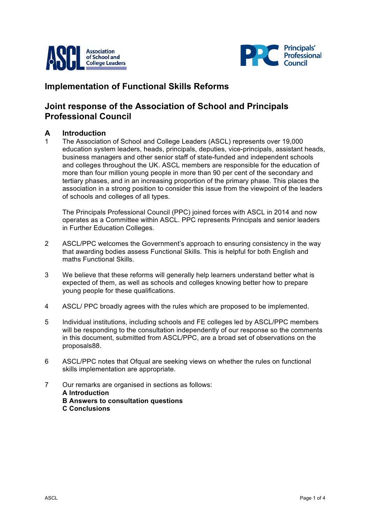



# **Implementation of Functional Skills Reforms**

## **Joint response of the Association of School and Principals Professional Council**

### **A Introduction**

1 The Association of School and College Leaders (ASCL) represents over 19,000 education system leaders, heads, principals, deputies, vice-principals, assistant heads, business managers and other senior staff of state-funded and independent schools and colleges throughout the UK. ASCL members are responsible for the education of more than four million young people in more than 90 per cent of the secondary and tertiary phases, and in an increasing proportion of the primary phase. This places the association in a strong position to consider this issue from the viewpoint of the leaders of schools and colleges of all types.

The Principals Professional Council (PPC) joined forces with ASCL in 2014 and now operates as a Committee within ASCL. PPC represents Principals and senior leaders in Further Education Colleges.

- 2 ASCL/PPC welcomes the Government's approach to ensuring consistency in the way that awarding bodies assess Functional Skills. This is helpful for both English and maths Functional Skills.
- 3 We believe that these reforms will generally help learners understand better what is expected of them, as well as schools and colleges knowing better how to prepare young people for these qualifications.
- 4 ASCL/ PPC broadly agrees with the rules which are proposed to be implemented.
- 5 Individual institutions, including schools and FE colleges led by ASCL/PPC members will be responding to the consultation independently of our response so the comments in this document, submitted from ASCL/PPC, are a broad set of observations on the proposals88.
- 6 ASCL/PPC notes that Ofqual are seeking views on whether the rules on functional skills implementation are appropriate.
- 7 Our remarks are organised in sections as follows: **A Introduction B Answers to consultation questions C Conclusions**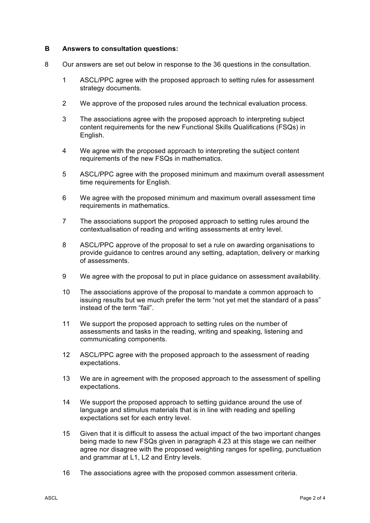#### **B Answers to consultation questions:**

- 8 Our answers are set out below in response to the 36 questions in the consultation.
	- 1 ASCL/PPC agree with the proposed approach to setting rules for assessment strategy documents.
	- 2 We approve of the proposed rules around the technical evaluation process.
	- 3 The associations agree with the proposed approach to interpreting subject content requirements for the new Functional Skills Qualifications (FSQs) in English.
	- 4 We agree with the proposed approach to interpreting the subject content requirements of the new FSQs in mathematics.
	- 5 ASCL/PPC agree with the proposed minimum and maximum overall assessment time requirements for English.
	- 6 We agree with the proposed minimum and maximum overall assessment time requirements in mathematics.
	- 7 The associations support the proposed approach to setting rules around the contextualisation of reading and writing assessments at entry level.
	- 8 ASCL/PPC approve of the proposal to set a rule on awarding organisations to provide guidance to centres around any setting, adaptation, delivery or marking of assessments.
	- 9 We agree with the proposal to put in place guidance on assessment availability.
	- 10 The associations approve of the proposal to mandate a common approach to issuing results but we much prefer the term "not yet met the standard of a pass" instead of the term "fail".
	- 11 We support the proposed approach to setting rules on the number of assessments and tasks in the reading, writing and speaking, listening and communicating components.
	- 12 ASCL/PPC agree with the proposed approach to the assessment of reading expectations.
	- 13 We are in agreement with the proposed approach to the assessment of spelling expectations.
	- 14 We support the proposed approach to setting guidance around the use of language and stimulus materials that is in line with reading and spelling expectations set for each entry level.
	- 15 Given that it is difficult to assess the actual impact of the two important changes being made to new FSQs given in paragraph 4.23 at this stage we can neither agree nor disagree with the proposed weighting ranges for spelling, punctuation and grammar at L1, L2 and Entry levels.
	- 16 The associations agree with the proposed common assessment criteria.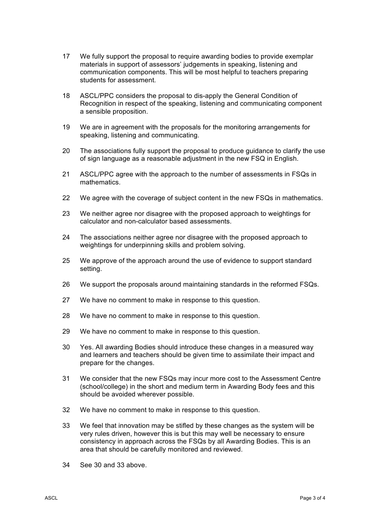- 17 We fully support the proposal to require awarding bodies to provide exemplar materials in support of assessors' judgements in speaking, listening and communication components. This will be most helpful to teachers preparing students for assessment.
- 18 ASCL/PPC considers the proposal to dis-apply the General Condition of Recognition in respect of the speaking, listening and communicating component a sensible proposition.
- 19 We are in agreement with the proposals for the monitoring arrangements for speaking, listening and communicating.
- 20 The associations fully support the proposal to produce guidance to clarify the use of sign language as a reasonable adjustment in the new FSQ in English.
- 21 ASCL/PPC agree with the approach to the number of assessments in FSQs in mathematics.
- 22 We agree with the coverage of subject content in the new FSQs in mathematics.
- 23 We neither agree nor disagree with the proposed approach to weightings for calculator and non-calculator based assessments.
- 24 The associations neither agree nor disagree with the proposed approach to weightings for underpinning skills and problem solving.
- 25 We approve of the approach around the use of evidence to support standard setting.
- 26 We support the proposals around maintaining standards in the reformed FSQs.
- 27 We have no comment to make in response to this question.
- 28 We have no comment to make in response to this question.
- 29 We have no comment to make in response to this question.
- 30 Yes. All awarding Bodies should introduce these changes in a measured way and learners and teachers should be given time to assimilate their impact and prepare for the changes.
- 31 We consider that the new FSQs may incur more cost to the Assessment Centre (school/college) in the short and medium term in Awarding Body fees and this should be avoided wherever possible.
- 32 We have no comment to make in response to this question.
- 33 We feel that innovation may be stifled by these changes as the system will be very rules driven, however this is but this may well be necessary to ensure consistency in approach across the FSQs by all Awarding Bodies. This is an area that should be carefully monitored and reviewed.
- 34 See 30 and 33 above.